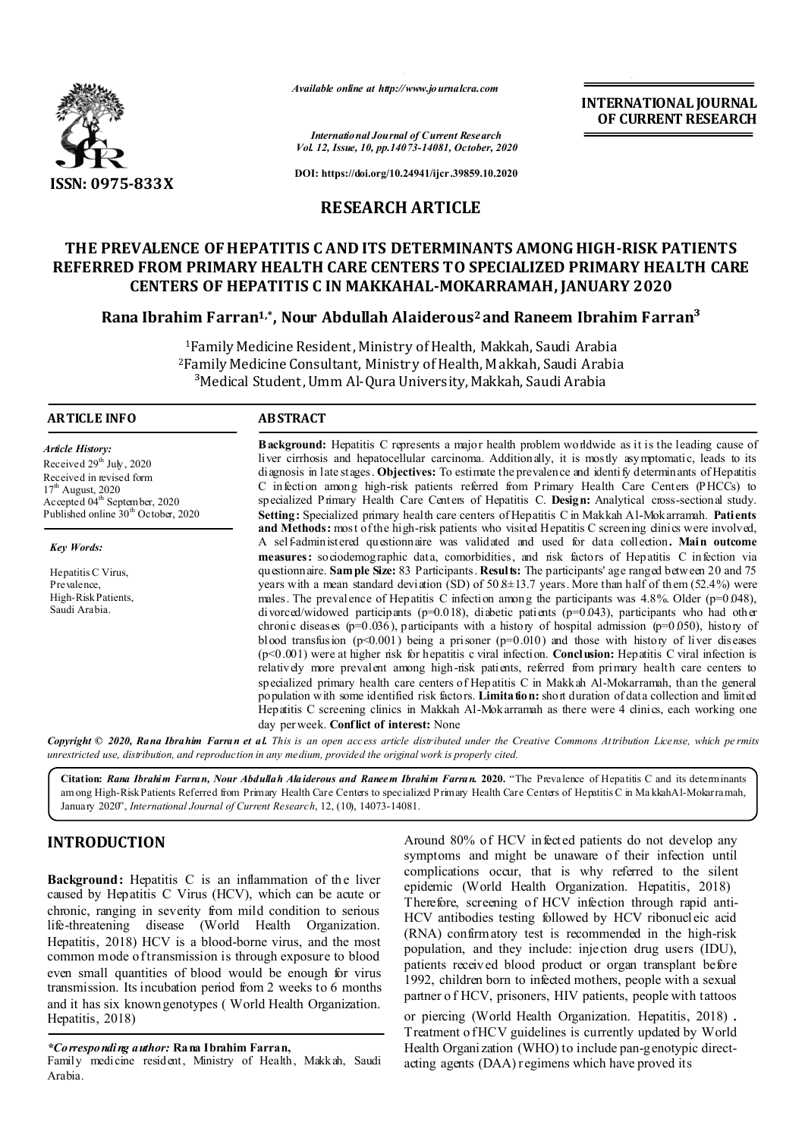

*Available online at http://www.journalcra.com*

**INTERNATIONAL JOURNAL OF CURRENT RESEARCH**

*International Journal of Current Research Vol. 12, Issue, 10, pp.14073-14081, October, 2020*

**DOI: https://doi.org/10.24941/ijcr.39859.10.2020**

# **RESEARCH ARTICLE**

# **THE PREVALENCE OF HEPATITIS C AND ITS DETERMINANTS AMONG HIGH-RISK PATIENTS REFERRED FROM PRIMARY HEALTH CARE CENTERS TO SPECIALIZED PRIMARY HEALTH CARE CENTERS OF HEPATITIS C IN MAKKAHAL-MOKARRAMAH, JANUARY 2020**

## **Rana Ibrahim Farran1,\*, Nour Abdullah Alaiderous2 and Raneem Ibrahim Farran³**

1Family Medicine Resident, Ministry of Health, Makkah, Saudi Arabia 2Family Medicine Consultant, Ministry of Health, Makkah, Saudi Arabia <sup>3</sup>Medical Student, Umm Al-Qura University, Makkah, Saudi Arabia

#### **ARTICLE INFO ABSTRACT**

*Article History:* Received 29<sup>th</sup> July, 2020 Received in revised form  $17<sup>th</sup>$  August, 2020 Accepted 04<sup>th</sup> September, 2020 Published online  $30<sup>th</sup>$  October, 2020

*Key Words:*

Hepatitis C Virus, Prevalence, High-Risk Patients, Saudi Arabia.

**Background:** Hepatitis C represents a major health problem worldwide as it is the leading cause of liver cirrhosis and hepatocellular carcinoma. Additionally, it is mostly asymptomatic, leads to its diagnosis in late stages. **Objectives:** To estimate the prevalence and identify determinants of Hepatitis C infection among high-risk patients referred from Primary Health Care Centers (PHCCs) to specialized Primary Health Care Centers of Hepatitis C. **Design:** Analytical cross-sectional study. **Setting:** Specialized primary health care centers of Hepatitis C in Makkah Al-Mokarramah. **Patients**  and Methods: most of the high-risk patients who visited Hepatitis C screening dinics were involved, A self-administered questionnaire was validated and used for data collection**. Main outcome measures:** sociodemographic data, comorbidities, and risk factors of Hepatitis C infection via questionnaire. **Sample Size:** 83 Participants. **Results:** The participants' age ranged between 20 and 75 years with a mean standard deviation (SD) of  $50.8 \pm 13.7$  years. More than half of them (52.4%) were males. The prevalence of Hepatitis C infection among the participants was  $4.8\%$ . Older (p=0.048), divorced/widowed participants (p=0.018), diabetic patients (p=0.043), participants who had other chronic diseases (p=0.036), participants with a history of hospital admission (p=0.050), history of blood transfusion ( $p<0.001$ ) being a prisoner ( $p=0.010$ ) and those with history of liver diseases (p<0.001) were at higher risk for hepatitis c viral infection. **Conclusion:** Hepatitis C viral infection is relatively more prevalent among high-risk patients, referred from primary health care centers to specialized primary health care centers of Hepatitis C in Makkah Al-Mokarramah, than the general population with some identified risk factors. **Limitation:** short duration of data collection and limited Hepatitis C screening clinics in Makkah Al-Mokarramah as there were 4 clinics, each working one day per week. **Conflict of interest:** None

Copyright © 2020, Rana Ibrahim Farran et al. This is an open access article distributed under the Creative Commons Attribution License, which permits *unrestricted use, distribution, and reproduction in any medium, provided the original work is properly cited.*

**Citation:** *Rana Ibrahim Farran, Nour Abdullah Alaiderous and Raneem Ibrahim Farran.* **2020.** "The Prevalence of Hepatitis C and its determinants am ong High-Risk Patients Referred from Primary Health Care Centers to specialized Primary Health Care Centers of Hepatitis C in Ma kkahAl-Mokarramah, January 2020", *International Journal of Current Research*, 12, (10), 14073-14081.

# **INTRODUCTION**

**Background:** Hepatitis C is an inflammation of the liver caused by Hepatitis C Virus (HCV), which can be acute or chronic, ranging in severity from mild condition to serious life-threatening disease (World Health Organization. Hepatitis, 2018) HCV is a blood-borne virus, and the most common mode of transmission is through exposure to blood even small quantities of blood would be enough for virus transmission. Its incubation period from 2 weeks to 6 months and it has six known genotypes ( World Health Organization. Hepatitis, 2018)

Family medicine resident, Ministry of Health, Makkah, Saudi Arabia.

Around 80% of HCV infected patients do not develop any symptoms and might be unaware of their infection until complications occur, that is why referred to the silent epidemic (World Health Organization. Hepatitis, 2018) Therefore, screening of HCV infection through rapid anti-HCV antibodies testing followed by HCV ribonucleic acid (RNA) confirmatory test is recommended in the high-risk population, and they include: injection drug users (IDU), patients received blood product or organ transplant before 1992, children born to infected mothers, people with a sexual partner o f HCV, prisoners, HIV patients, people with tattoos

or piercing (World Health Organization. Hepatitis, 2018) . Treatment o f HCV guidelines is currently updated by World Health Organization (WHO) to include pan-genotypic directacting agents (DAA) regimens which have proved its

*<sup>\*</sup>Corresponding author:* **Rana Ibrahim Farran,**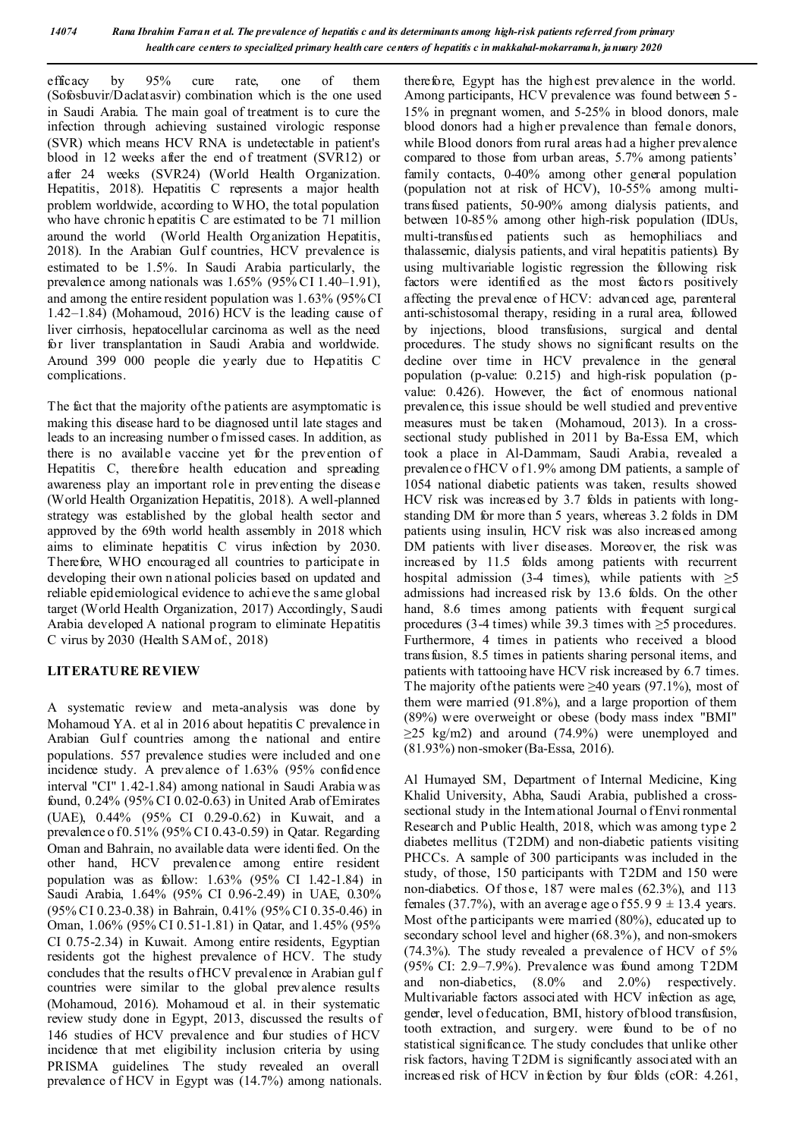*14074 Rana Ibrahim Farran et al. The prevalence of hepatitis c and its determinants among high-risk patients referred from primary health care centers to specialized primary health care centers of hepatitis c in makkahal-mokarramah, january 2020*

efficacy by 95% cure rate, one of them (Sofosbuvir/Daclatasvir) combination which is the one used in Saudi Arabia. The main goal of treatment is to cure the infection through achieving sustained virologic response (SVR) which means HCV RNA is undetectable in patient's blood in 12 weeks after the end of treatment (SVR12) or after 24 weeks (SVR24) (World Health Organization. Hepatitis, 2018). Hepatitis C represents a major health problem worldwide, according to WHO, the total population who have chronic h epatitis C are estimated to be 71 million around the world (World Health Organization Hepatitis, 2018). In the Arabian Gulf countries, HCV prevalence is estimated to be 1.5%. In Saudi Arabia particularly, the prevalence among nationals was 1.65% (95% CI 1.40–1.91), and among the entire resident population was 1.63% (95% CI 1.42–1.84) (Mohamoud, 2016) HCV is the leading cause of liver cirrhosis, hepatocellular carcinoma as well as the need for liver transplantation in Saudi Arabia and worldwide. Around 399 000 people die yearly due to Hepatitis C complications.

The fact that the majority of the patients are asymptomatic is making this disease hard to be diagnosed until late stages and leads to an increasing number o fmissed cases. In addition, as there is no available vaccine yet for the prevention of Hepatitis C, therefore health education and spreading awareness play an important role in preventing the disease (World Health Organization Hepatitis, 2018). A well-planned strategy was established by the global health sector and approved by the 69th world health assembly in 2018 which aims to eliminate hepatitis C virus infection by 2030. Therefore, WHO encouraged all countries to participate in developing their own n ational policies based on updated and reliable epidemiological evidence to achieve the same global target (World Health Organization, 2017) Accordingly, Saudi Arabia developed A national program to eliminate Hepatitis C virus by 2030 (Health SAM of., 2018)

#### **LITERATURE REVIEW**

A systematic review and meta-analysis was done by Mohamoud YA. et al in 2016 about hepatitis C prevalence in Arabian Gulf countries among the national and entire populations. 557 prevalence studies were included and one incidence study. A prevalence of 1.63% (95% confidence interval "CI" 1.42-1.84) among national in Saudi Arabia w as found, 0.24% (95% CI 0.02-0.63) in United Arab of Emirates (UAE), 0.44% (95% CI 0.29-0.62) in Kuwait, and a prevalence o f 0.51% (95% CI 0.43-0.59) in Qatar. Regarding Oman and Bahrain, no available data were identi fied. On the other hand, HCV prevalence among entire resident population was as follow: 1.63% (95% CI 1.42-1.84) in Saudi Arabia, 1.64% (95% CI 0.96-2.49) in UAE, 0.30% (95% CI 0.23-0.38) in Bahrain, 0.41% (95% CI 0.35-0.46) in Oman, 1.06% (95% CI 0.51-1.81) in Qatar, and 1.45% (95% CI 0.75-2.34) in Kuwait. Among entire residents, Egyptian residents got the highest prevalence of HCV. The study concludes that the results of HCV prevalence in Arabian gul f countries were similar to the global prevalence results (Mohamoud, 2016). Mohamoud et al. in their systematic review study done in Egypt, 2013, discussed the results of 146 studies of HCV prevalence and four studies of HCV incidence that met eligibility inclusion criteria by using PRISMA guidelines. The study revealed an overall prevalence of HCV in Egypt was (14.7%) among nationals.

therefore, Egypt has the highest prevalence in the world. Among participants, HCV prevalence was found between 5 - 15% in pregnant women, and 5-25% in blood donors, male blood donors had a higher prevalence than female donors, while Blood donors from rural areas had a higher prevalence compared to those from urban areas, 5.7% among patients' family contacts, 0-40% among other general population (population not at risk of HCV), 10-55% among multitransfused patients, 50-90% among dialysis patients, and between 10-85% among other high-risk population (IDUs, multi-transfused patients such as hemophiliacs and thalassemic, dialysis patients, and viral hepatitis patients). By using multivariable logistic regression the following risk factors were identified as the most factors positively affecting the prevalence of HCV: advanced age, parenteral anti-schistosomal therapy, residing in a rural area, followed by injections, blood transfusions, surgical and dental procedures. The study shows no significant results on the decline over time in HCV prevalence in the general population (p-value: 0.215) and high-risk population (pvalue: 0.426). However, the fact of enormous national prevalence, this issue should be well studied and preventive measures must be taken (Mohamoud, 2013). In a crosssectional study published in 2011 by Ba-Essa EM, which took a place in Al-Dammam, Saudi Arabia, revealed a prevalence o f HCV o f 1.9% among DM patients, a sample of 1054 national diabetic patients was taken, results showed HCV risk was increased by 3.7 folds in patients with longstanding DM for more than 5 years, whereas 3.2 folds in DM patients using insulin, HCV risk was also increased among DM patients with liver diseases. Moreover, the risk was increased by 11.5 folds among patients with recurrent hospital admission (3-4 times), while patients with  $\geq 5$ admissions had increased risk by 13.6 folds. On the other hand, 8.6 times among patients with frequent surgical procedures (3-4 times) while 39.3 times with  $\geq$ 5 procedures. Furthermore, 4 times in patients who received a blood transfusion, 8.5 times in patients sharing personal items, and patients with tattooing have HCV risk increased by 6.7 times. The majority of the patients were  $\geq 40$  years (97.1%), most of them were married (91.8%), and a large proportion of them (89%) were overweight or obese (body mass index "BMI"  $>25 \text{ kg/m2}$  and around (74.9%) were unemployed and (81.93%) non-smoker(Ba-Essa, 2016).

Al Humayed SM, Department of Internal Medicine, King Khalid University, Abha, Saudi Arabia, published a crosssectional study in the International Journal of Envi ronmental Research and Public Health, 2018, which was among type 2 diabetes mellitus (T2DM) and non-diabetic patients visiting PHCCs. A sample of 300 participants was included in the study, of those, 150 participants with T2DM and 150 were non-diabetics. Of thos e, 187 were males (62.3%), and 113 females (37.7%), with an average age of  $55.99 \pm 13.4$  years. Most of the participants were married (80%), educated up to secondary school level and higher (68.3%), and non-smokers (74.3%). The study revealed a prevalence of HCV of 5% (95% CI: 2.9–7.9%). Prevalence was found among T2DM and non-diabetics, (8.0% and 2.0%) respectively. Multivariable factors associated with HCV infection as age, gender, level of education, BMI, history of blood transfusion, tooth extraction, and surgery. were found to be of no statistical significance. The study concludes that unlike other risk factors, having T2DM is significantly associated with an increased risk of HCV infection by four folds (cOR: 4.261,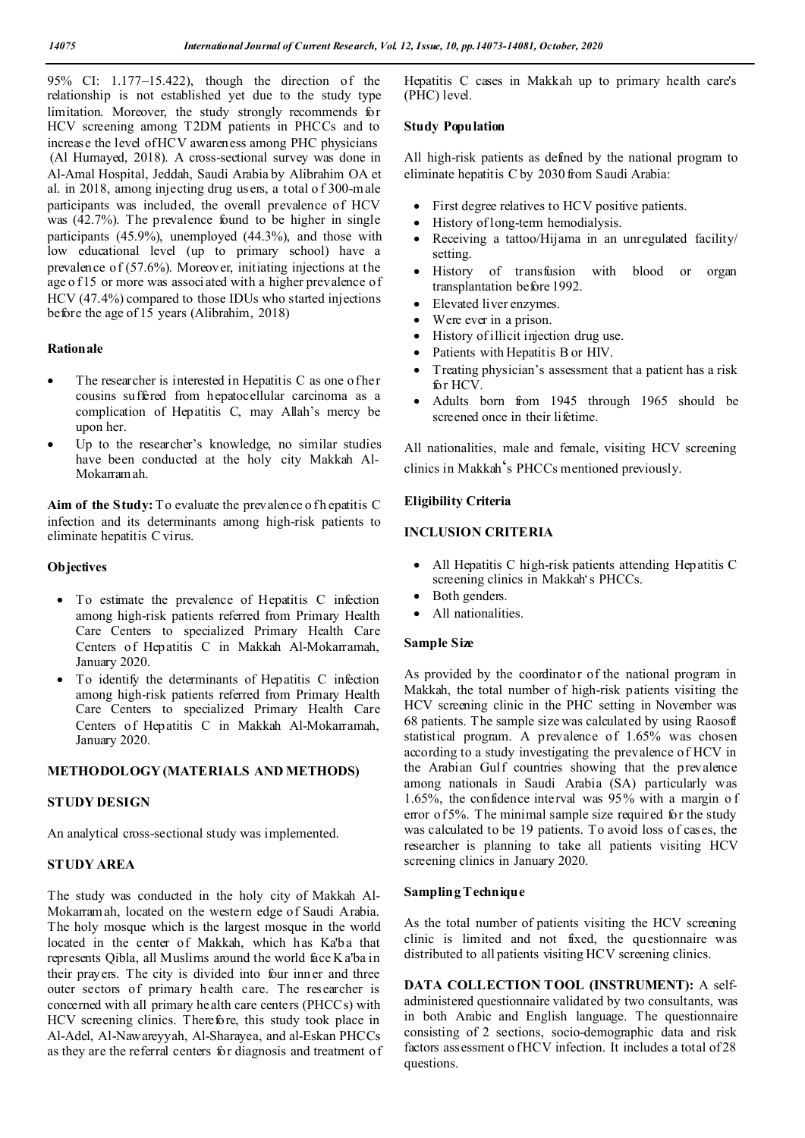95% CI: 1.177–15.422), though the direction of the relationship is not established yet due to the study type limitation. Moreover, the study strongly recommends for HCV screening among T2DM patients in PHCCs and to increase the level of HCV awareness among PHC physicians (Al Humayed, 2018). A cross-sectional survey was done in Al-Amal Hospital, Jeddah, Saudi Arabia by Alibrahim OA et al. in 2018, among injecting drug users, a total o f 300-male participants was included, the overall prevalence of HCV was (42.7%). The prevalence found to be higher in single participants (45.9%), unemployed (44.3%), and those with low educational level (up to primary school) have a prevalence of (57.6%). Moreover, initiating injections at the age of 15 or more was associated with a higher prevalence of HCV (47.4%) compared to those IDUs who started injections before the age of 15 years (Alibrahim, 2018)

#### **Rationale**

- The researcher is interested in Hepatitis C as one of her cousins suffered from hepatocellular carcinoma as a complication of Hepatitis C, may Allah's mercy be upon her.
- Up to the researcher's knowledge, no similar studies have been conducted at the holy city Makkah Al-Mokarramah.

Aim of the Study: To evaluate the prevalence of h epatitis C infection and its determinants among high-risk patients to eliminate hepatitis C virus.

#### **Objectives**

- To estimate the prevalence of Hepatitis C infection among high-risk patients referred from Primary Health Care Centers to specialized Primary Health Care Centers of Hepatitis C in Makkah Al-Mokarramah, January 2020.
- To identify the determinants of Hepatitis C infection among high-risk patients referred from Primary Health Care Centers to specialized Primary Health Care Centers of Hepatitis C in Makkah Al-Mokarramah, January 2020.

#### **METHODOLOGY (MATERIALS AND METHODS)**

#### **STUDY DESIGN**

An analytical cross-sectional study was implemented.

## **STUDY AREA**

The study was conducted in the holy city of Makkah Al-Mokarramah, located on the western edge of Saudi Arabia. The holy mosque which is the largest mosque in the world located in the center of Makkah, which has Ka'ba that represents Qibla, all Muslims around the world face K a'ba in their prayers. The city is divided into four inner and three outer sectors of primary health care. The researcher is concerned with all primary health care centers (PHCCs) with HCV screening clinics. Therefore, this study took place in Al-Adel, Al-Nawareyyah, Al-Sharayea, and al-Eskan PHCCs as they are the referral centers for diagnosis and treatment of Hepatitis C cases in Makkah up to primary health care's (PHC) level.

### **Study Population**

All high-risk patients as defined by the national program to eliminate hepatitis C by 2030 from Saudi Arabia:

- First degree relatives to HCV positive patients.
- History of long-term hemodialysis.
- Receiving a tattoo/Hijama in an unregulated facility/ setting.
- History of transfusion with blood or organ transplantation before 1992.
- Elevated liver enzymes.
- Were ever in a prison.
- History of illicit injection drug use.
- Patients with Hepatitis B or HIV.
- Treating physician's assessment that a patient has a risk for HCV.
- Adults born from 1945 through 1965 should be screened once in their lifetime.

All nationalities, male and female, visiting HCV screening clinics in Makkah's PHCCs mentioned previously.

#### **Eligibility Criteria**

#### **INCLUSION CRITERIA**

- All Hepatitis C high-risk patients attending Hepatitis C screening clinics in Makkah's PHCCs.
- Both genders.
- All nationalities.

#### **Sample Size**

As provided by the coordinator of the national program in Makkah, the total number of high-risk patients visiting the HCV screening clinic in the PHC setting in November was 68 patients. The sample size was calculated by using Raosoft statistical program. A prevalence of 1.65% was chosen according to a study investigating the prevalence of HCV in the Arabian Gulf countries showing that the prevalence among nationals in Saudi Arabia (SA) particularly was 1.65%, the confidence interval was 95% with a margin o f error of 5%. The minimal sample size required for the study was calculated to be 19 patients. To avoid loss of cases, the researcher is planning to take all patients visiting HCV screening clinics in January 2020.

#### **Sampling Technique**

As the total number of patients visiting the HCV screening clinic is limited and not fixed, the questionnaire was distributed to all patients visiting HCV screening clinics.

**DATA COLLECTION TOOL (INSTRUMENT):** A selfadministered questionnaire validated by two consultants, was in both Arabic and English language. The questionnaire consisting of 2 sections, socio-demographic data and risk factors assessment of HCV infection. It includes a total of 28 questions.

0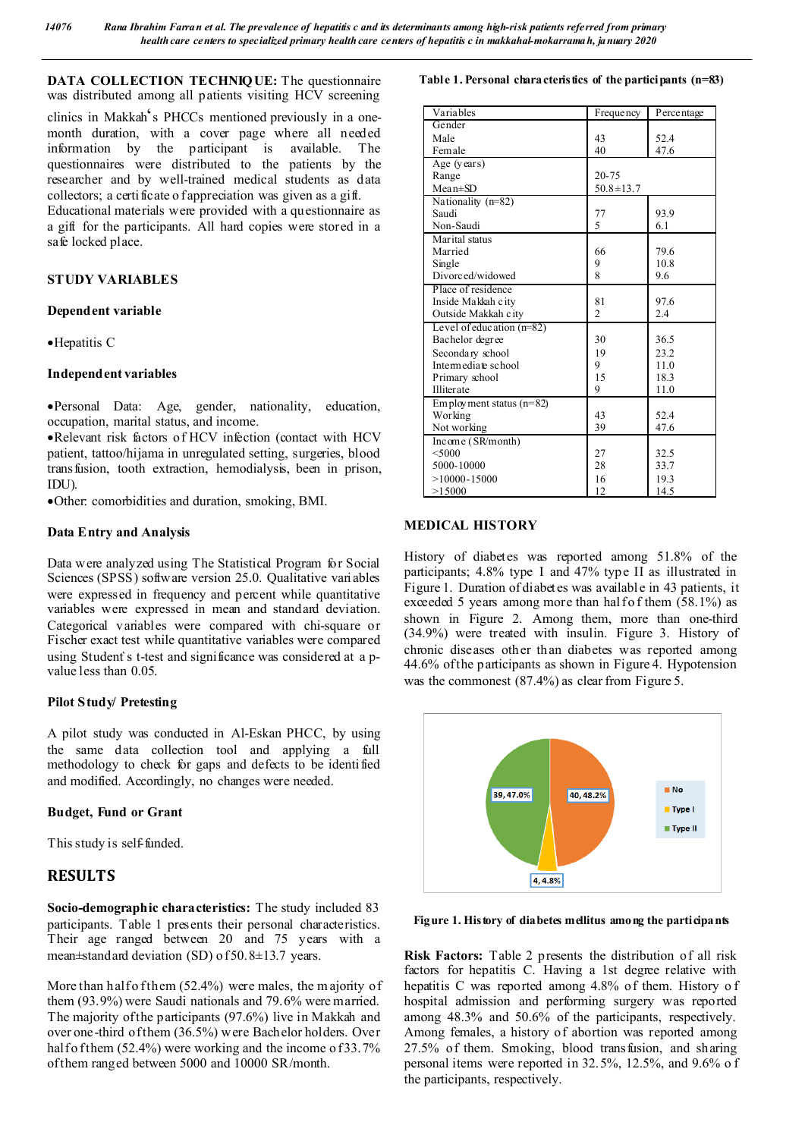**DATA COLLECTION TECHNIQUE:** The questionnaire was distributed among all patients visiting HCV screening

clinics in Makkah's PHCCs mentioned previously in a onemonth duration, with a cover page where all needed information by the participant is available. The questionnaires were distributed to the patients by the researcher and by well-trained medical students as data collectors; a certificate o f appreciation was given as a gift.

Educational materials were provided with a questionnaire as a gift for the participants. All hard copies were stored in a safe locked place.

### **STUDY VARIABLES**

#### **Dependent variable**

Hepatitis C

#### **Independent variables**

Personal Data: Age, gender, nationality, education, occupation, marital status, and income.

Relevant risk factors of HCV infection (contact with HCV patient, tattoo/hijama in unregulated setting, surgeries, blood transfusion, tooth extraction, hemodialysis, been in prison, IDU).

Other: comorbidities and duration, smoking, BMI.

#### **Data Entry and Analysis**

Data were analyzed using The Statistical Program for Social Sciences (SPSS) software version 25.0. Qualitative variables were expressed in frequency and percent while quantitative variables were expressed in mean and standard deviation. Categorical variables were compared with chi-square or Fischer exact test while quantitative variables were compared using Student`s t-test and significance was considered at a pvalue less than 0.05.

#### **Pilot Study/ Pretesting**

A pilot study was conducted in Al-Eskan PHCC, by using the same data collection tool and applying a full methodology to check for gaps and defects to be identified and modified. Accordingly, no changes were needed.

#### **Budget, Fund or Grant**

This study is self-funded.

## **RESULTS**

**Socio-demographic characteristics:** The study included 83 participants. Table 1 presents their personal characteristics. Their age ranged between 20 and 75 years with a mean±standard deviation (SD) of 50.8±13.7 years.

More than half o f them  $(52.4\%)$  were males, the m ajority of them (93.9%) were Saudi nationals and 79.6% were married. The majority of the participants (97.6%) live in Makkah and over one-third of them (36.5%) were Bachelor holders. Over half o f them  $(52.4\%)$  were working and the income of 33.7% of them ranged between 5000 and 10000 SR/month.

**Table 1. Personal characteristics of the participants (n=83)**

| Variables                   | Frequency       | Percentage |
|-----------------------------|-----------------|------------|
| Gender                      |                 |            |
| Male                        | 43              | 52.4       |
| Female                      | 40              | 47.6       |
| Age (years)                 |                 |            |
| Range                       | 20-75           |            |
| $Mean \pm SD$               | $50.8 \pm 13.7$ |            |
| Nationality (n=82)          |                 |            |
| Saudi                       | 77              | 93.9       |
| Non-Saudi                   | 5               | 6.1        |
| Marital status              |                 |            |
| Married                     | 66              | 79.6       |
| Single                      | 9               | 10.8       |
| Divorced/widowed            | 8               | 9.6        |
| Place of residence          |                 |            |
| Inside Makkah city          | 81              | 97.6       |
| Outside Makkah city         | $\overline{c}$  | 2.4        |
| Level of education $(n=82)$ |                 |            |
| Bachelor degree             | 30              | 36.5       |
| Secondary school            | 19              | 23.2       |
| Intermediate school         | 9               | 11.0       |
| Primary school              | 15              | 18.3       |
| Illiterate                  | 9               | 11.0       |
| Employment status $(n=82)$  |                 |            |
| Working                     | 43              | 52.4       |
| Not working                 | 39              | 47.6       |
| Income (SR/month)           |                 |            |
| < 5000                      | 27              | 32.5       |
| 5000-10000                  | 28              | 33.7       |
| $>10000 - 15000$            | 16              | 19.3       |
| >15000                      | 12              | 14.5       |

### **MEDICAL HISTORY**

History of diabetes was reported among 51.8% of the participants; 4.8% type I and 47% type II as illustrated in Figure 1. Duration of diabetes was available in 43 patients, it exceeded 5 years among more than hal fo f them  $(58.1\%)$  as shown in Figure 2. Among them, more than one-third (34.9%) were treated with insulin. Figure 3. History of chronic diseases other than diabetes was reported among 44.6% of the participants as shown in Figure 4. Hypotension was the commonest  $(87.4\%)$  as clear from Figure 5.



#### **Figure 1. History of diabetes mellitus among the participants**

**Risk Factors:** Table 2 presents the distribution of all risk factors for hepatitis C. Having a 1st degree relative with hepatitis C was reported among 4.8% of them. History o f hospital admission and performing surgery was reported among 48.3% and 50.6% of the participants, respectively. Among females, a history of abortion was reported among 27.5% of them. Smoking, blood transfusion, and sharing personal items were reported in 32.5%, 12.5%, and 9.6% o f the participants, respectively.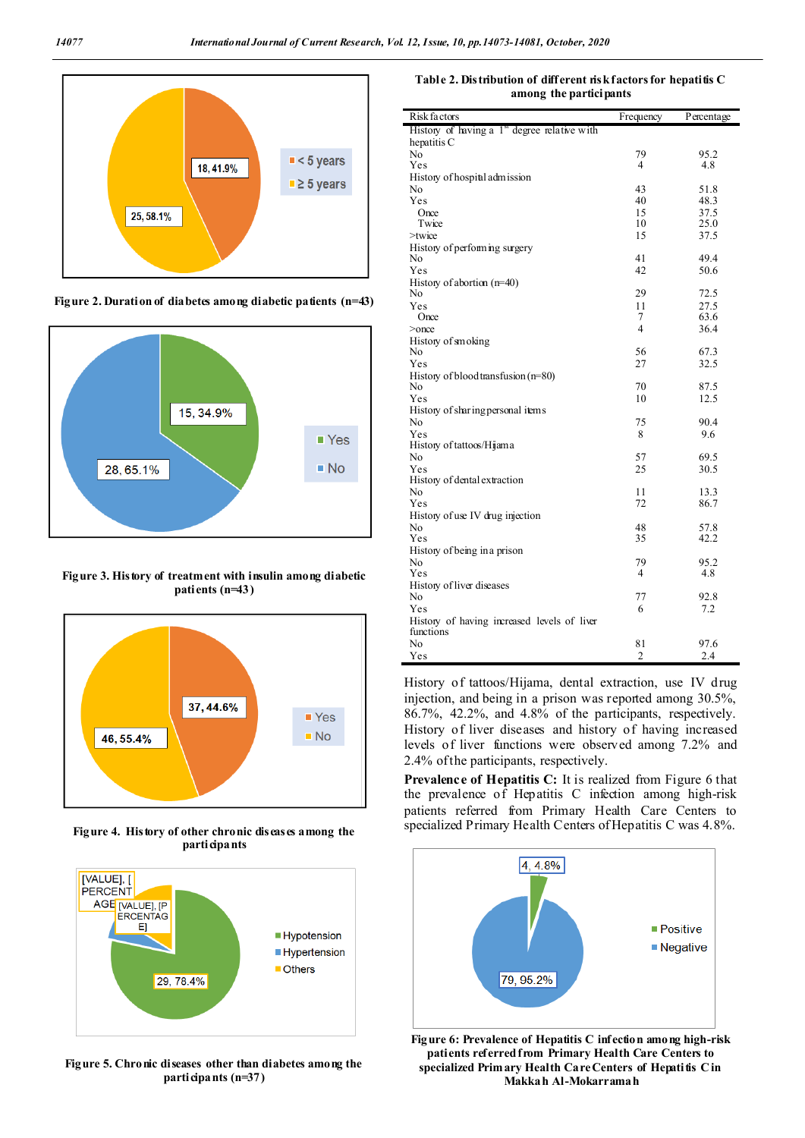

**Figure 2. Duration of diabetes among diabetic patients (n=43)**



**Figure 3. History of treatment with insulin among diabetic patients (n=43)**



**Figure 4. History of other chronic diseases among the participants**



**Figure 5. Chronic diseases other than diabetes among the participants (n=37)**

**Table 2. Distribution of different risk factors for hepatitis C among the participants**

| Risk factors                                             | Frequency                | Percentage   |
|----------------------------------------------------------|--------------------------|--------------|
| History of having a 1 <sup>st</sup> degree relative with |                          |              |
| hepatitis C                                              |                          |              |
| N <sub>0</sub>                                           | 79                       | 95.2         |
| Yes                                                      | 4                        | 4.8          |
| History of hospital admission                            |                          |              |
| No                                                       | 43                       | 51.8         |
| Yes                                                      | 40                       | 48.3         |
| Once                                                     | 15                       | 37.5         |
| Twice                                                    | 10                       | 25.0         |
| $>$ twice                                                | 15                       | 37.5         |
| History of performing surgery                            |                          |              |
| No                                                       | 41                       | 49.4         |
| Yes                                                      | 42                       | 50.6         |
| History of abortion $(n=40)$                             | 29                       |              |
| No<br>Yes                                                | 11                       | 72.5         |
| Once                                                     | 7                        | 27.5<br>63.6 |
| $>$ once                                                 | $\overline{\mathcal{A}}$ | 36.4         |
| History of smoking                                       |                          |              |
| No                                                       | 56                       | 67.3         |
| Yes                                                      | 27                       | 32.5         |
| History of blood transfusion (n=80)                      |                          |              |
| No                                                       | 70                       | 87.5         |
| Yes                                                      | 10                       | 12.5         |
| History of sharing personal items                        |                          |              |
| No                                                       | 75                       | 90.4         |
| Yes                                                      | 8                        | 9.6          |
| History of tattoos/Hijama                                |                          |              |
| No                                                       | 57                       | 69.5         |
| Yes                                                      | 25                       | 30.5         |
| History of dental extraction                             |                          |              |
| N <sub>0</sub>                                           | 11                       | 13.3         |
| Yes                                                      | 72                       | 86.7         |
| History of use IV drug injection                         |                          |              |
| N <sub>0</sub>                                           | 48                       | 57.8         |
| Yes                                                      | 35                       | 42.2         |
| History of being in a prison                             |                          |              |
| N <sub>0</sub>                                           | 79                       | 95.2         |
| Yes                                                      | 4                        | 4.8          |
| History of liver diseases                                |                          |              |
| No                                                       | 77                       | 92.8         |
| Yes                                                      | 6                        | 7.2          |
| History of having increased levels of liver              |                          |              |
| functions                                                |                          |              |
| No                                                       | 81                       | 97.6         |
| Yes                                                      | $\overline{2}$           | 2.4          |

History of tattoos/Hijama, dental extraction, use IV drug injection, and being in a prison was reported among 30.5%, 86.7%, 42.2%, and 4.8% of the participants, respectively. History of liver diseases and history of having increased levels of liver functions were observed among 7.2% and 2.4% of the participants, respectively.

Prevalence of Hepatitis C: It is realized from Figure 6 that the prevalence of Hepatitis C infection among high-risk patients referred from Primary Health Care Centers to specialized Primary Health Centers of Hepatitis C was 4.8%.



**Figure 6: Prevalence of Hepatitis C infection among high-risk patients referred from Primary Health Care Centers to specialized Primary Health Care Centers of Hepatitis C in Makkah Al-Mokarramah**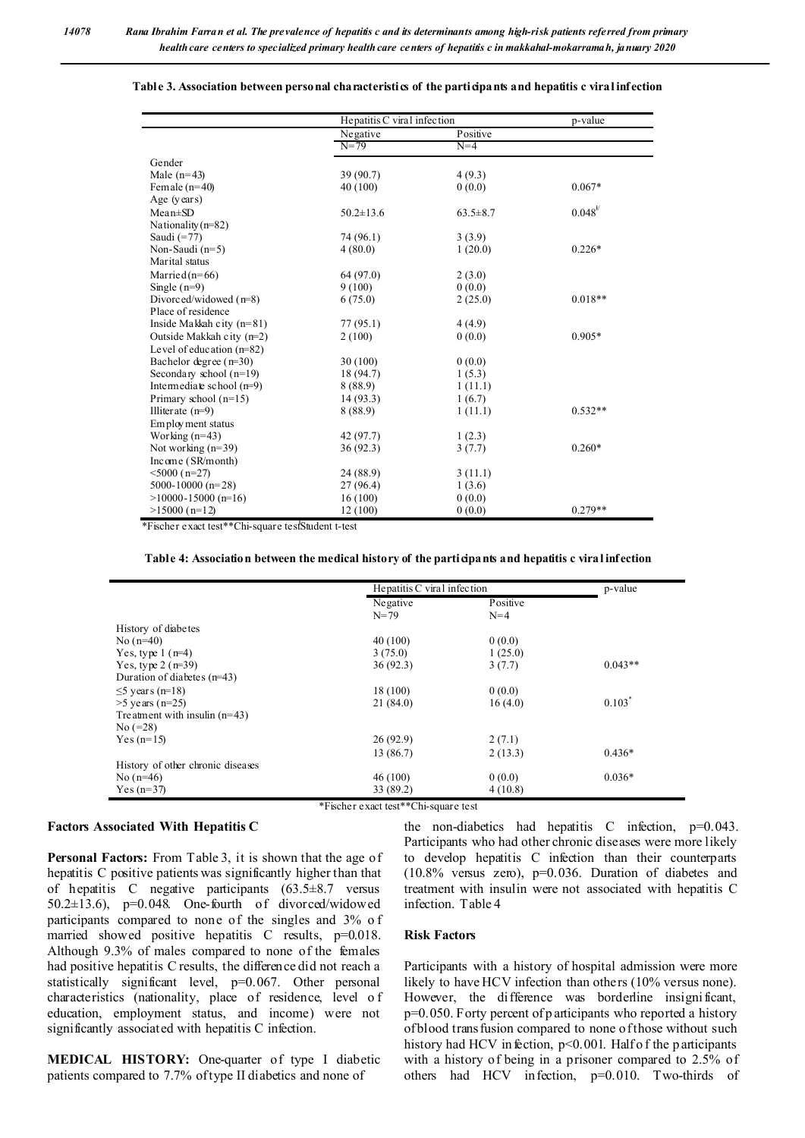|                             | Hepatitis C viral infection |                | p-value       |
|-----------------------------|-----------------------------|----------------|---------------|
|                             | Negative                    | Positive       |               |
|                             | $N = 79$                    | $N=4$          |               |
| Gender                      |                             |                |               |
| Male $(n=43)$               | 39 (90.7)                   | 4(9.3)         |               |
| Female $(n=40)$             | 40 (100)                    | 0(0.0)         | $0.067*$      |
| Age (years)                 |                             |                |               |
| $Mean \pm SD$               | $50.2 \pm 13.6$             | $63.5 \pm 8.7$ | $0.048^{t/2}$ |
| Nationality $(n=82)$        |                             |                |               |
| Saudi $(=77)$               | 74 (96.1)                   | 3(3.9)         |               |
| Non-Saudi $(n=5)$           | 4(80.0)                     | 1(20.0)        | $0.226*$      |
| Marital status              |                             |                |               |
| Married $(n=66)$            | 64 (97.0)                   | 2(3.0)         |               |
| Single $(n=9)$              | 9(100)                      | 0(0.0)         |               |
| Divorced/widowed $(n=8)$    | 6(75.0)                     | 2(25.0)        | $0.018**$     |
| Place of residence          |                             |                |               |
| Inside Makkah city $(n=81)$ | 77 (95.1)                   | 4(4.9)         |               |
| Outside Makkah city $(n=2)$ | 2(100)                      | 0(0.0)         | $0.905*$      |
| Level of education $(n=82)$ |                             |                |               |
| Bachelor degree $(r=30)$    | 30(100)                     | 0(0.0)         |               |
| Secondary school $(n=19)$   | 18 (94.7)                   | 1(5.3)         |               |
| Intermediate school $(n=9)$ | 8 (88.9)                    | 1(11.1)        |               |
| Primary school $(n=15)$     | 14(93.3)                    | 1(6.7)         |               |
| Illiterate $(n=9)$          | 8 (88.9)                    | 1(11.1)        | $0.532**$     |
| Employment status           |                             |                |               |
| Working $(n=43)$            | 42 (97.7)                   | 1(2.3)         |               |
| Not working (n=39)          | 36(92.3)                    | 3(7.7)         | $0.260*$      |
| Income (SR/month)           |                             |                |               |
| $5000(n=27)$                | 24 (88.9)                   | 3(11.1)        |               |
| 5000-10000 ( $n=28$ )       | 27 (96.4)                   | 1(3.6)         |               |
| $>10000 - 15000$ (n=16)     | 16(100)                     | 0(0.0)         |               |
| $>15000$ (n=12)             | 12 (100)                    | 0(0.0)         | $0.279**$     |

#### **Table 3. Association between personal characteristics of the participants and hepatitis c viral infection**

\*Fischer exact test\*\*Chi-square test<sup>†</sup>Student t-test

#### **Table 4: Association between the medical history of the participants and hepatitis c viral infection**

|                                   | Hepatitis C viral infection                                                                |          | p-value   |
|-----------------------------------|--------------------------------------------------------------------------------------------|----------|-----------|
|                                   | Negative                                                                                   | Positive |           |
|                                   | $N = 79$                                                                                   | $N=4$    |           |
| History of diabetes               |                                                                                            |          |           |
| No $(n=40)$                       | 40(100)                                                                                    | 0(0.0)   |           |
| Yes, type $1(r=4)$                | 3(75.0)                                                                                    | 1(25.0)  |           |
| Yes, type $2 (r=39)$              | 36(92.3)                                                                                   | 3(7.7)   | $0.043**$ |
| Duration of diabetes $(n=43)$     |                                                                                            |          |           |
| $\leq$ 5 years (n=18)             | 18(100)                                                                                    | 0(0.0)   |           |
| $>5$ years (n=25)                 | 21 (84.0)                                                                                  | 16(4.0)  | $0.103*$  |
| Tre atment with insulin $(n=43)$  |                                                                                            |          |           |
| $No (=28)$                        |                                                                                            |          |           |
| $Yes (n=15)$                      | 26(92.9)                                                                                   | 2(7.1)   |           |
|                                   | 13 (86.7)                                                                                  | 2(13.3)  | $0.436*$  |
| History of other chronic diseases |                                                                                            |          |           |
| No (n=46)                         | 46(100)                                                                                    | 0(0.0)   | $0.036*$  |
| Yes $(n=37)$                      | 33 (89.2)                                                                                  | 4(10.8)  |           |
|                                   | $4.771 - 1$<br>$\mathbf{r} = \mathbf{r}$ , which is clear to the $\mathbf{r} = \mathbf{r}$ |          |           |

\*Fischer exact test\*\*Chi-square test

#### **Factors Associated With Hepatitis C**

**Personal Factors:** From Table 3, it is shown that the age of hepatitis C positive patients was significantly higher than that of hepatitis C negative participants (63.5±8.7 versus 50.2±13.6), p=0.048. One-fourth of divorced/widowed participants compared to none of the singles and 3% o f married showed positive hepatitis C results, p=0.018. Although 9.3% of males compared to none of the females had positive hepatitis C results, the difference did not reach a statistically significant level, p=0.067. Other personal characteristics (nationality, place of residence, level o f education, employment status, and income) were not significantly associated with hepatitis C infection.

**MEDICAL HISTORY:** One-quarter of type I diabetic patients compared to 7.7% of type II diabetics and none of

the non-diabetics had hepatitis C infection,  $p=0.043$ . Participants who had other chronic diseases were more likely to develop hepatitis C infection than their counterparts (10.8% versus zero), p=0.036. Duration of diabetes and treatment with insulin were not associated with hepatitis C infection. Table 4

#### **Risk Factors**

Participants with a history of hospital admission were more likely to have HCV infection than others (10% versus none). However, the difference was borderline insignificant, p=0.050. Forty percent of p articipants who reported a history of blood transfusion compared to none of those without such history had HCV in fection,  $p<0.001$ . Half of the p articipants with a history of being in a prisoner compared to 2.5% of others had HCV infection, p=0.010. Two-thirds of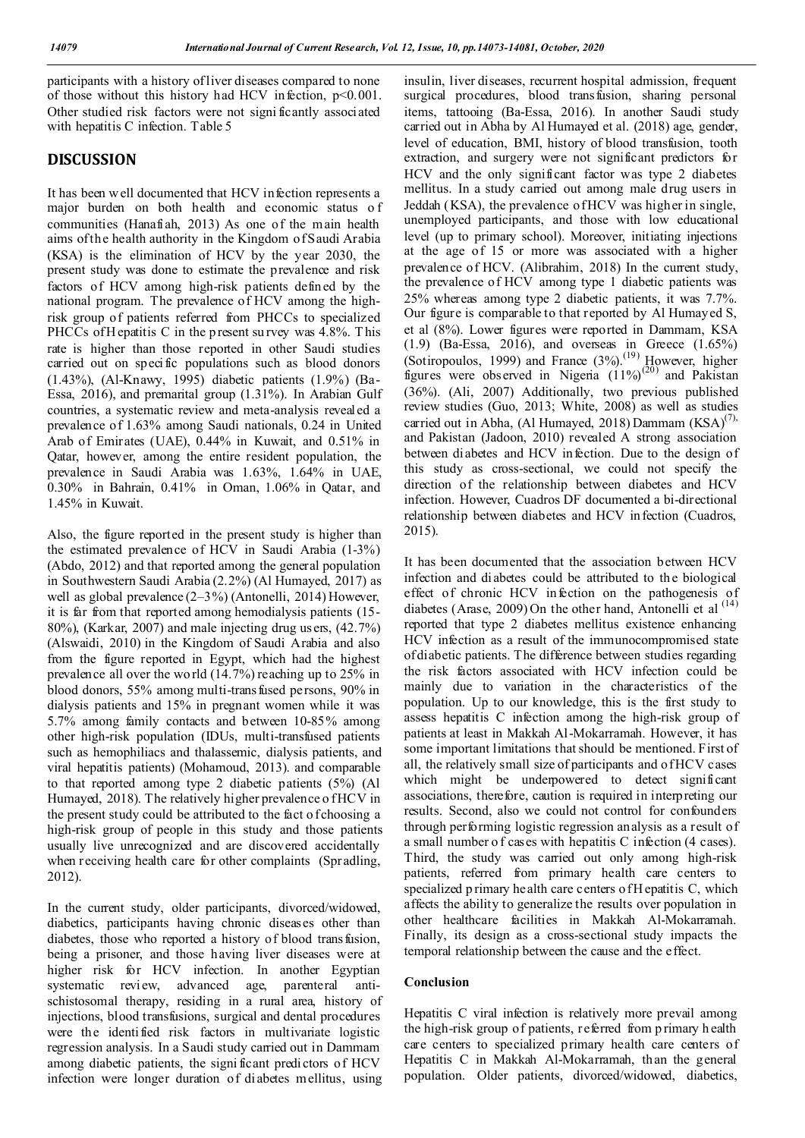0

participants with a history of liver diseases compared to none of those without this history had HCV infection, p<0.001. Other studied risk factors were not signi ficantly associated with hepatitis C infection. Table 5

## **DISCUSSION**

It has been w ell documented that HCV infection represents a major burden on both health and economic status o f communities (Hanafiah, 2013) As one of the main health aims of the health authority in the Kingdom of Saudi Arabia (KSA) is the elimination of HCV by the year 2030, the present study was done to estimate the prevalence and risk factors of HCV among high-risk patients defined by the national program. The prevalence of HCV among the highrisk group of patients referred from PHCCs to specialized PHCCs of H epatitis C in the p resent survey was 4.8%. This rate is higher than those reported in other Saudi studies carried out on specific populations such as blood donors (1.43%), (Al-Knawy, 1995) diabetic patients (1.9%) (Ba-Essa, 2016), and premarital group (1.31%). In Arabian Gulf countries, a systematic review and meta-analysis revealed a prevalence of 1.63% among Saudi nationals, 0.24 in United Arab of Emirates (UAE), 0.44% in Kuwait, and 0.51% in Qatar, however, among the entire resident population, the prevalence in Saudi Arabia was 1.63%, 1.64% in UAE, 0.30% in Bahrain, 0.41% in Oman, 1.06% in Qatar, and 1.45% in Kuwait.

Also, the figure reported in the present study is higher than the estimated prevalence of HCV in Saudi Arabia (1-3%) (Abdo, 2012) and that reported among the general population in Southwestern Saudi Arabia (2.2%) (Al Humayed, 2017) as well as global prevalence (2–3%) (Antonelli, 2014) However, it is far from that reported among hemodialysis patients (15- 80%), (Karkar, 2007) and male injecting drug us ers, (42.7%) (Alswaidi, 2010) in the Kingdom of Saudi Arabia and also from the figure reported in Egypt, which had the highest prevalence all over the wo rld (14.7%) reaching up to 25% in blood donors, 55% among multi-transfused persons, 90% in dialysis patients and 15% in pregnant women while it was 5.7% among family contacts and between 10-85% among other high-risk population (IDUs, multi-transfused patients such as hemophiliacs and thalassemic, dialysis patients, and viral hepatitis patients) (Mohamoud, 2013). and comparable to that reported among type 2 diabetic patients (5%) (Al Humayed, 2018). The relatively higher prevalence of HCV in the present study could be attributed to the fact of choosing a high-risk group of people in this study and those patients usually live unrecognized and are discovered accidentally when receiving health care for other complaints (Spradling, 2012).

In the current study, older participants, divorced/widowed, diabetics, participants having chronic diseases other than diabetes, those who reported a history of blood transfusion, being a prisoner, and those having liver diseases were at higher risk for HCV infection. In another Egyptian systematic review, advanced age, parenteral antischistosomal therapy, residing in a rural area, history of injections, blood transfusions, surgical and dental procedures were the identified risk factors in multivariate logistic regression analysis. In a Saudi study carried out in Dammam among diabetic patients, the signi ficant predictors of HCV infection were longer duration of diabetes mellitus, using

insulin, liver diseases, recurrent hospital admission, frequent surgical procedures, blood transfusion, sharing personal items, tattooing (Ba-Essa, 2016). In another Saudi study carried out in Abha by Al Humayed et al. (2018) age, gender, level of education, BMI, history of blood transfusion, tooth extraction, and surgery were not significant predictors for HCV and the only significant factor was type 2 diabetes mellitus. In a study carried out among male drug users in Jeddah (KSA), the prevalence of HCV was higher in single, unemployed participants, and those with low educational level (up to primary school). Moreover, initiating injections at the age of 15 or more was associated with a higher prevalence of HCV. (Alibrahim, 2018) In the current study, the prevalence of HCV among type 1 diabetic patients was 25% whereas among type 2 diabetic patients, it was 7.7%. Our figure is comparable to that reported by Al Humayed S, et al (8%). Lower figures were reported in Dammam, KSA (1.9) (Ba-Essa, 2016), and overseas in Greece (1.65%) (Sotiropoulos, 1999) and France  $(3\%)$ .<sup>(19)</sup> However, higher figures were observed in Nigeria  $(11\%)^{(20)}$  and Pakistan (36%). (Ali, 2007) Additionally, two previous published review studies (Guo, 2013; White, 2008) as well as studies carried out in Abha, (Al Humayed, 2018) Dammam  $(KSA)^{(7)}$ , and Pakistan (Jadoon, 2010) revealed A strong association between diabetes and HCV infection. Due to the design of this study as cross-sectional, we could not specify the direction of the relationship between diabetes and HCV infection. However, Cuadros DF documented a bi-directional relationship between diabetes and HCV infection (Cuadros, 2015).

It has been documented that the association between HCV infection and diabetes could be attributed to the biological effect of chronic HCV infection on the pathogenesis of diabetes (Arase, 2009) On the other hand, Antonelli et al  $(14)$ reported that type 2 diabetes mellitus existence enhancing HCV infection as a result of the immunocompromised state of diabetic patients. The difference between studies regarding the risk factors associated with HCV infection could be mainly due to variation in the characteristics of the population. Up to our knowledge, this is the first study to assess hepatitis C infection among the high-risk group of patients at least in Makkah Al-Mokarramah. However, it has some important limitations that should be mentioned. First of all, the relatively small size of participants and of HCV cases which might be underpowered to detect significant associations, therefore, caution is required in interpreting our results. Second, also we could not control for confounders through performing logistic regression analysis as a result of a small number o f cases with hepatitis C infection (4 cases). Third, the study was carried out only among high-risk patients, referred from primary health care centers to specialized p rimary health care centers o f H epatitis C, which affects the ability to generalize the results over population in other healthcare facilities in Makkah Al-Mokarramah. Finally, its design as a cross-sectional study impacts the temporal relationship between the cause and the effect.

#### **Conclusion**

Hepatitis C viral infection is relatively more prevail among the high-risk group of patients, referred from p rimary h ealth care centers to specialized primary health care centers of Hepatitis C in Makkah Al-Mokarramah, than the general population. Older patients, divorced/widowed, diabetics,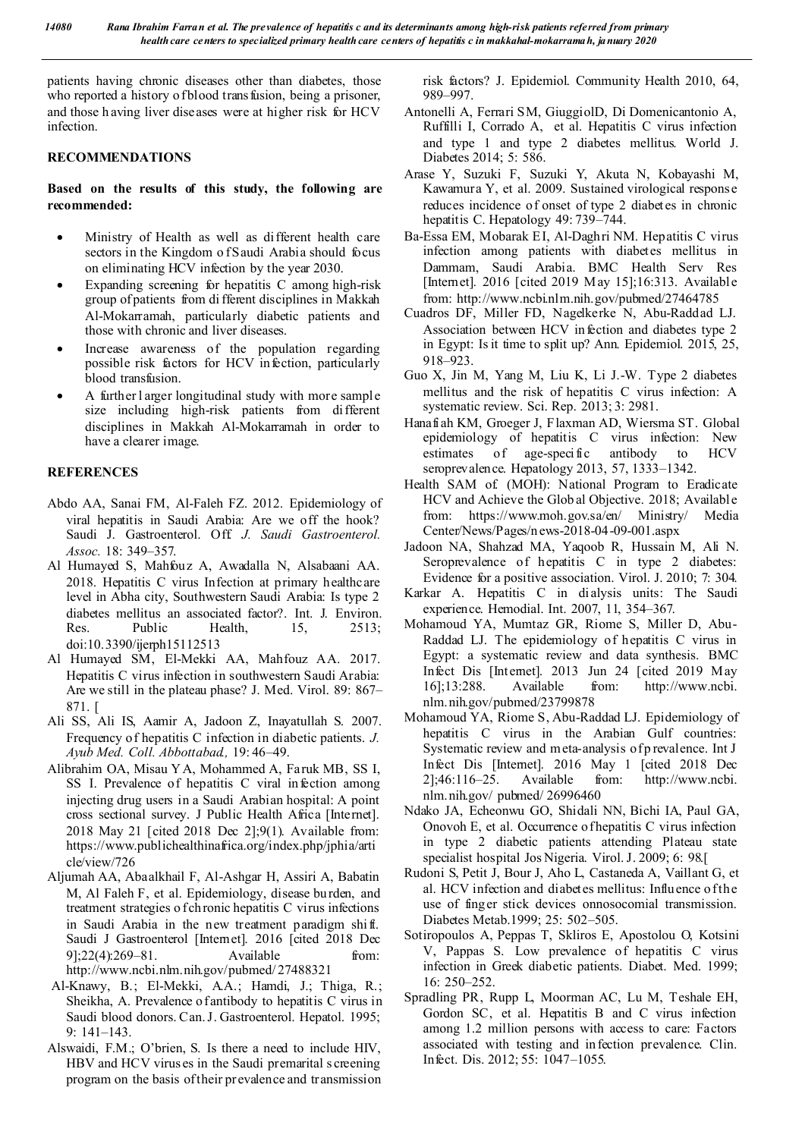patients having chronic diseases other than diabetes, those who reported a history of blood transfusion, being a prisoner, and those h aving liver diseases were at higher risk for HCV infection.

#### **RECOMMENDATIONS**

#### **Based on the results of this study, the following are recommended:**

- Ministry of Health as well as different health care sectors in the Kingdom of Saudi Arabia should focus on eliminating HCV infection by the year 2030.
- Expanding screening for hepatitis C among high-risk group of patients from di fferent disciplines in Makkah Al-Mokarramah, particularly diabetic patients and those with chronic and liver diseases.
- Increase awareness of the population regarding possible risk factors for HCV infection, particularly blood transfusion.
- A further l arger longitudinal study with more sample size including high-risk patients from different disciplines in Makkah Al-Mokarramah in order to have a clearer image.

#### **REFERENCES**

- Abdo AA, Sanai FM, Al-Faleh FZ. 2012. Epidemiology of viral hepatitis in Saudi Arabia: Are we off the hook? Saudi J. Gastroenterol. Off. *J. Saudi Gastroenterol. Assoc.* 18: 349–357.
- Al Humayed S, Mahfouz A, Awadalla N, Alsabaani AA. 2018. Hepatitis C virus Infection at primary healthcare level in Abha city, Southwestern Saudi Arabia: Is type 2 diabetes mellitus an associated factor?. Int. J. Environ. Res. Public Health, 15, 2513; doi:10.3390/ijerph15112513
- Al Humayed SM, El-Mekki AA, Mahfouz AA. 2017. Hepatitis C virus infection in southwestern Saudi Arabia: Are we still in the plateau phase? J. Med. Virol. 89: 867– 871. [
- Ali SS, Ali IS, Aamir A, Jadoon Z, Inayatullah S. 2007. Frequency of hepatitis C infection in diabetic patients. *J. Ayub Med. Coll. Abbottabad.,* 19: 46–49.
- Alibrahim OA, Misau Y A, Mohammed A, Faruk MB, SS I, SS I. Prevalence of hepatitis C viral infection among injecting drug users in a Saudi Arabian hospital: A point cross sectional survey. J Public Health Africa [Internet]. 2018 May 21 [cited 2018 Dec 2];9(1). Available from: https://www.publichealthinafrica.org/index.php/jphia/arti cle/view/726
- Aljumah AA, Abaalkhail F, Al-Ashgar H, Assiri A, Babatin M, Al Faleh F, et al. Epidemiology, disease burden, and treatment strategies o f chronic hepatitis C virus infections in Saudi Arabia in the new treatment paradigm shi ft. Saudi J Gastroenterol [Internet]. 2016 [cited 2018 Dec 9];22(4):269–81. Available from: http://www.ncbi.nlm.nih.gov/pubmed/ 27488321
- Al-Knawy, B.; El-Mekki, A.A.; Hamdi, J.; Thiga, R.; Sheikha, A. Prevalence of antibody to hepatitis C virus in Saudi blood donors. Can. J. Gastroenterol. Hepatol. 1995; 9: 141–143.
- Alswaidi, F.M.; O'brien, S. Is there a need to include HIV, HBV and HCV virus es in the Saudi premarital s creening program on the basis of their prevalence and transmission

risk factors? J. Epidemiol. Community Health 2010, 64, 989–997.

- Antonelli A, Ferrari SM, GiuggiolD, Di Domenicantonio A, Ruffilli I, Corrado A, et al. Hepatitis C virus infection and type 1 and type 2 diabetes mellitus. World J. Diabetes 2014; 5: 586.
- Arase Y, Suzuki F, Suzuki Y, Akuta N, Kobayashi M, Kawamura Y, et al. 2009. Sustained virological response reduces incidence of onset of type 2 diabetes in chronic hepatitis C. Hepatology 49: 739–744.
- Ba-Essa EM, Mobarak EI, Al-Daghri NM. Hepatitis C virus infection among patients with diabetes mellitus in Dammam, Saudi Arabia. BMC Health Serv Res [Internet]. 2016 [cited 2019 May 15];16:313. Available from: http://www.ncbi.nlm.nih.gov/pubmed/27464785
- Cuadros DF, Miller FD, Nagelkerke N, Abu-Raddad LJ. Association between HCV infection and diabetes type 2 in Egypt: Is it time to split up? Ann. Epidemiol. 2015, 25, 918–923.
- Guo X, Jin M, Yang M, Liu K, Li J.-W. Type 2 diabetes mellitus and the risk of hepatitis C virus infection: A systematic review. Sci. Rep. 2013; 3: 2981.
- Hanafiah KM, Groeger J, Flaxman AD, Wiersma ST. Global epidemiology of hepatitis C virus infection: New estimates of age-specific antibody to HCV seroprevalence. Hepatology 2013, 57, 1333–1342.
- Health SAM of. (MOH): National Program to Eradicate HCV and Achieve the Glob al Objective. 2018; Available from: https://www.moh.gov.sa/en/ Ministry/ Media Center/News/Pages/n ews-2018-04-09-001.aspx
- Jadoon NA, Shahzad MA, Yaqoob R, Hussain M, Ali N. Seroprevalence of hepatitis C in type 2 diabetes: Evidence for a positive association. Virol. J. 2010; 7: 304.
- Karkar A. Hepatitis C in dialysis units: The Saudi experience. Hemodial. Int. 2007, 11, 354–367.
- Mohamoud YA, Mumtaz GR, Riome S, Miller D, Abu-Raddad LJ. The epidemiology of hepatitis C virus in Egypt: a systematic review and data synthesis. BMC Infect Dis [Internet]. 2013 Jun 24 [cited 2019 May 16];13:288. Available from: http://www.ncbi. nlm.nih.gov/pubmed/23799878
- Mohamoud YA, Riome S, Abu-Raddad LJ. Epidemiology of hepatitis C virus in the Arabian Gulf countries: Systematic review and meta-analysis of p revalence. Int J Infect Dis [Internet]. 2016 May 1 [cited 2018 Dec 2];46:116–25. Available from: http://www.ncbi. nlm.nih.gov/ pubmed/ 26996460
- Ndako JA, Echeonwu GO, Shidali NN, Bichi IA, Paul GA, Onovoh E, et al. Occurrence of hepatitis C virus infection in type 2 diabetic patients attending Plateau state specialist hospital Jos Nigeria. Virol. J. 2009; 6: 98.[
- Rudoni S, Petit J, Bour J, Aho L, Castaneda A, Vaillant G, et al. HCV infection and diabetes mellitus: Influence of the use of finger stick devices onnosocomial transmission. Diabetes Metab.1999; 25: 502–505.
- Sotiropoulos A, Peppas T, Skliros E, Apostolou O, Kotsini V, Pappas S. Low prevalence of hepatitis C virus infection in Greek diabetic patients. Diabet. Med. 1999; 16: 250–252.
- Spradling PR, Rupp L, Moorman AC, Lu M, Teshale EH, Gordon SC, et al. Hepatitis B and C virus infection among 1.2 million persons with access to care: Factors associated with testing and infection prevalence. Clin. Infect. Dis. 2012; 55: 1047–1055.